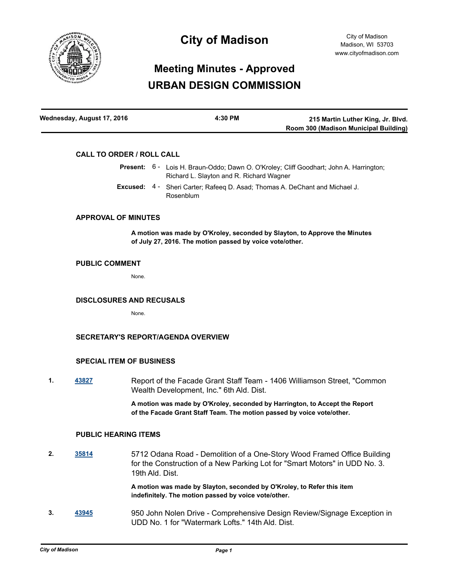

# **City of Madison**

# **Meeting Minutes - Approved URBAN DESIGN COMMISSION**

| Wednesday, August 17, 2016 | 4:30 PM | 215 Martin Luther King, Jr. Blvd.     |
|----------------------------|---------|---------------------------------------|
|                            |         | Room 300 (Madison Municipal Building) |

# **CALL TO ORDER / ROLL CALL**

|  | <b>Present:</b> 6 - Lois H. Braun-Oddo; Dawn O. O'Kroley; Cliff Goodhart; John A. Harrington;<br>Richard L. Slayton and R. Richard Wagner |  |
|--|-------------------------------------------------------------------------------------------------------------------------------------------|--|
|  | <b>Excused:</b> 4 - Sheri Carter; Rafeeg D. Asad; Thomas A. DeChant and Michael J.                                                        |  |
|  | Rosenblum                                                                                                                                 |  |

### **APPROVAL OF MINUTES**

**A motion was made by O'Kroley, seconded by Slayton, to Approve the Minutes of July 27, 2016. The motion passed by voice vote/other.**

#### **PUBLIC COMMENT**

None.

#### **DISCLOSURES AND RECUSALS**

None.

# **SECRETARY'S REPORT/AGENDA OVERVIEW**

#### **SPECIAL ITEM OF BUSINESS**

**1. [43827](http://madison.legistar.com/gateway.aspx?m=l&id=/matter.aspx?key=48033)** Report of the Facade Grant Staff Team - 1406 Williamson Street, "Common Wealth Development, Inc." 6th Ald. Dist.

> **A motion was made by O'Kroley, seconded by Harrington, to Accept the Report of the Facade Grant Staff Team. The motion passed by voice vote/other.**

#### **PUBLIC HEARING ITEMS**

**2. [35814](http://madison.legistar.com/gateway.aspx?m=l&id=/matter.aspx?key=38861)** 5712 Odana Road - Demolition of a One-Story Wood Framed Office Building for the Construction of a New Parking Lot for "Smart Motors" in UDD No. 3. 19th Ald. Dist.

> **A motion was made by Slayton, seconded by O'Kroley, to Refer this item indefinitely. The motion passed by voice vote/other.**

**3. [43945](http://madison.legistar.com/gateway.aspx?m=l&id=/matter.aspx?key=48146)** 950 John Nolen Drive - Comprehensive Design Review/Signage Exception in UDD No. 1 for "Watermark Lofts." 14th Ald. Dist.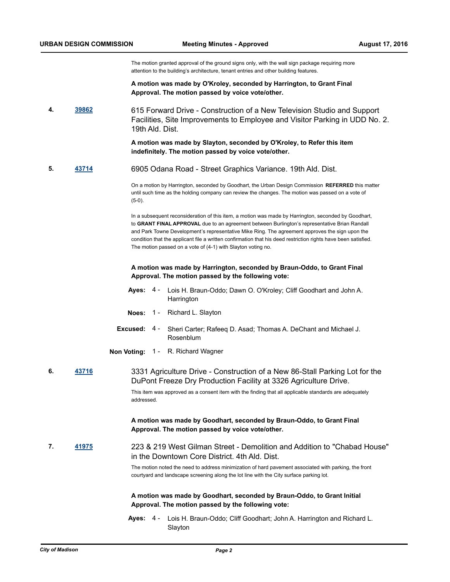The motion granted approval of the ground signs only, with the wall sign package requiring more attention to the building's architecture, tenant entries and other building features.

**A motion was made by O'Kroley, seconded by Harrington, to Grant Final Approval. The motion passed by voice vote/other.**

**4. [39862](http://madison.legistar.com/gateway.aspx?m=l&id=/matter.aspx?key=43416)** 615 Forward Drive - Construction of a New Television Studio and Support Facilities, Site Improvements to Employee and Visitor Parking in UDD No. 2. 19th Ald. Dist.

> **A motion was made by Slayton, seconded by O'Kroley, to Refer this item indefinitely. The motion passed by voice vote/other.**

**5. [43714](http://madison.legistar.com/gateway.aspx?m=l&id=/matter.aspx?key=47920)** 6905 Odana Road - Street Graphics Variance. 19th Ald. Dist.

On a motion by Harrington, seconded by Goodhart, the Urban Design Commission **REFERRED** this matter until such time as the holding company can review the changes. The motion was passed on a vote of (5-0).

In a subsequent reconsideration of this item, a motion was made by Harrington, seconded by Goodhart, to **GRANT FINAL APPROVAL** due to an agreement between Burlington's representative Brian Randall and Park Towne Development's representative Mike Ring. The agreement approves the sign upon the condition that the applicant file a written confirmation that his deed restriction rights have been satisfied. The motion passed on a vote of (4-1) with Slayton voting no.

#### **A motion was made by Harrington, seconded by Braun-Oddo, to Grant Final Approval. The motion passed by the following vote:**

- Ayes: 4 Lois H. Braun-Oddo; Dawn O. O'Kroley; Cliff Goodhart and John A. **Harrington**
- **Noes:** 1 Richard L. Slayton
- **Excused:** Sheri Carter; Rafeeq D. Asad; Thomas A. DeChant and Michael J. Rosenblum Excused: 4 -
- **Non Voting:** 1 R. Richard Wagner
- **6. [43716](http://madison.legistar.com/gateway.aspx?m=l&id=/matter.aspx?key=47922)** 3331 Agriculture Drive Construction of a New 86-Stall Parking Lot for the DuPont Freeze Dry Production Facility at 3326 Agriculture Drive.

This item was approved as a consent item with the finding that all applicable standards are adequately addressed.

#### **A motion was made by Goodhart, seconded by Braun-Oddo, to Grant Final Approval. The motion passed by voice vote/other.**

**7. [41975](http://madison.legistar.com/gateway.aspx?m=l&id=/matter.aspx?key=46309)** 223 & 219 West Gilman Street - Demolition and Addition to "Chabad House" in the Downtown Core District. 4th Ald. Dist.

> The motion noted the need to address minimization of hard pavement associated with parking, the front courtyard and landscape screening along the lot line with the City surface parking lot.

### **A motion was made by Goodhart, seconded by Braun-Oddo, to Grant Initial Approval. The motion passed by the following vote:**

Ayes: 4 - Lois H. Braun-Oddo; Cliff Goodhart; John A. Harrington and Richard L. Slayton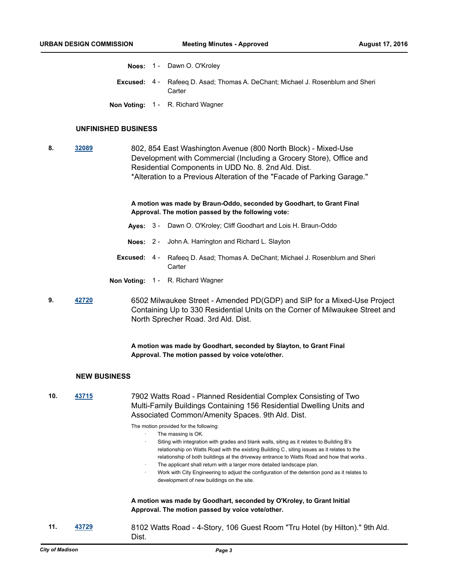- **Noes:** 1 Dawn O. O'Kroley
- **Excused:** 4 Rafeeq D. Asad; Thomas A. DeChant; Michael J. Rosenblum and Sheri **Carter**
- **Non Voting:** 1 R. Richard Wagner

#### **UNFINISHED BUSINESS**

**8. [32089](http://madison.legistar.com/gateway.aspx?m=l&id=/matter.aspx?key=35102)** 802, 854 East Washington Avenue (800 North Block) - Mixed-Use Development with Commercial (Including a Grocery Store), Office and Residential Components in UDD No. 8. 2nd Ald. Dist. \*Alteration to a Previous Alteration of the "Facade of Parking Garage."

#### **A motion was made by Braun-Oddo, seconded by Goodhart, to Grant Final Approval. The motion passed by the following vote:**

- **Ayes:** 3 Dawn O. O'Kroley; Cliff Goodhart and Lois H. Braun-Oddo
- **Noes:** 2 John A. Harrington and Richard L. Slayton
- **Excused:** 4 Rafeeq D. Asad; Thomas A. DeChant; Michael J. Rosenblum and Sheri **Carter**
- **Non Voting:** 1 R. Richard Wagner
- **9. [42720](http://madison.legistar.com/gateway.aspx?m=l&id=/matter.aspx?key=46966)** 6502 Milwaukee Street Amended PD(GDP) and SIP for a Mixed-Use Project Containing Up to 330 Residential Units on the Corner of Milwaukee Street and North Sprecher Road. 3rd Ald. Dist.

**A motion was made by Goodhart, seconded by Slayton, to Grant Final Approval. The motion passed by voice vote/other.**

#### **NEW BUSINESS**

**10. [43715](http://madison.legistar.com/gateway.aspx?m=l&id=/matter.aspx?key=47921)** 7902 Watts Road - Planned Residential Complex Consisting of Two Multi-Family Buildings Containing 156 Residential Dwelling Units and Associated Common/Amenity Spaces. 9th Ald. Dist.

The motion provided for the following:

- The massing is OK.
	- · Siting with integration with grades and blank walls, siting as it relates to Building B's relationship on Watts Road with the existing Building C, siting issues as it relates to the relationship of both buildings at the driveway entrance to Watts Road and how that works .
- The applicant shall return with a larger more detailed landscape plan.
- Work with City Engineering to adjust the configuration of the detention pond as it relates to development of new buildings on the site.

**A motion was made by Goodhart, seconded by O'Kroley, to Grant Initial Approval. The motion passed by voice vote/other.**

**11. [43729](http://madison.legistar.com/gateway.aspx?m=l&id=/matter.aspx?key=47935)** 8102 Watts Road - 4-Story, 106 Guest Room "Tru Hotel (by Hilton)." 9th Ald. Dist.